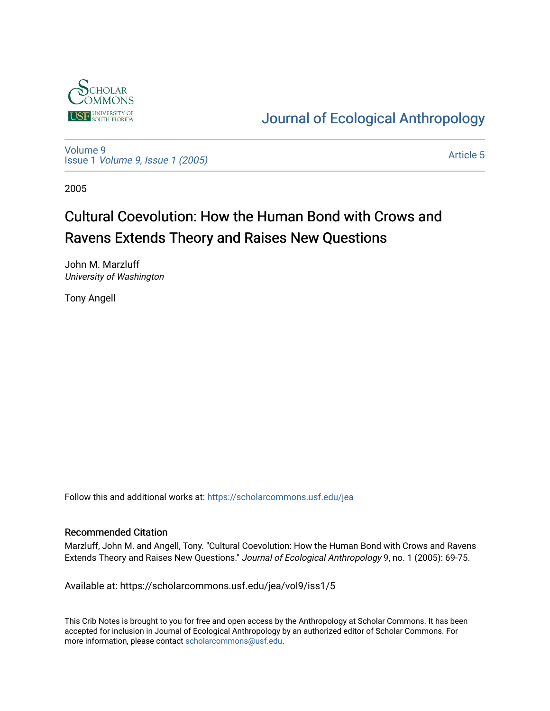

[Journal of Ecological Anthropology](https://scholarcommons.usf.edu/jea) 

[Volume 9](https://scholarcommons.usf.edu/jea/vol9) Issue 1 [Volume 9, Issue 1 \(2005\)](https://scholarcommons.usf.edu/jea/vol9/iss1) 

[Article 5](https://scholarcommons.usf.edu/jea/vol9/iss1/5) 

2005

# Cultural Coevolution: How the Human Bond with Crows and Ravens Extends Theory and Raises New Questions

John M. Marzluff University of Washington

Tony Angell

Follow this and additional works at: [https://scholarcommons.usf.edu/jea](https://scholarcommons.usf.edu/jea?utm_source=scholarcommons.usf.edu%2Fjea%2Fvol9%2Fiss1%2F5&utm_medium=PDF&utm_campaign=PDFCoverPages) 

## Recommended Citation

Marzluff, John M. and Angell, Tony. "Cultural Coevolution: How the Human Bond with Crows and Ravens Extends Theory and Raises New Questions." Journal of Ecological Anthropology 9, no. 1 (2005): 69-75.

Available at: https://scholarcommons.usf.edu/jea/vol9/iss1/5

This Crib Notes is brought to you for free and open access by the Anthropology at Scholar Commons. It has been accepted for inclusion in Journal of Ecological Anthropology by an authorized editor of Scholar Commons. For more information, please contact [scholarcommons@usf.edu](mailto:scholarcommons@usf.edu).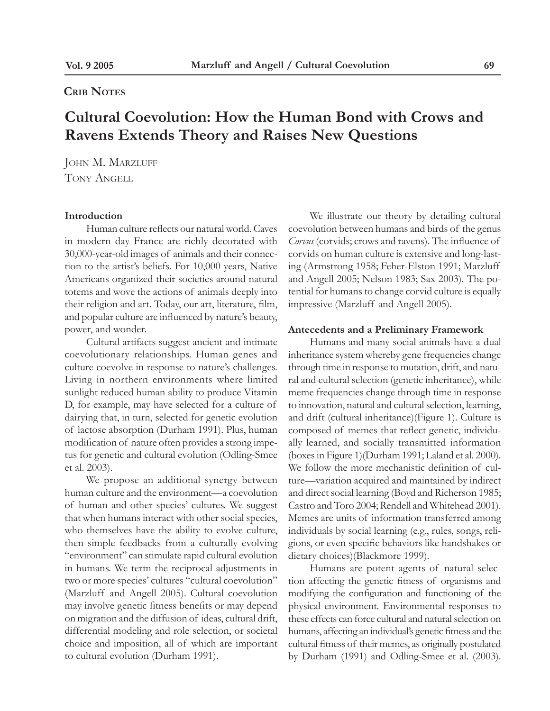## **Crib Notes**

## **Cultural Coevolution: How the Human Bond with Crows and Ravens Extends Theory and Raises New Questions**

JOHN M. MARZLUFF Tony Angell

#### **Introduction**

Human culture reflects our natural world. Caves in modern day France are richly decorated with 30,000-year-old images of animals and their connection to the artist's beliefs. For 10,000 years, Native Americans organized their societies around natural totems and wove the actions of animals deeply into their religion and art. Today, our art, literature, film, and popular culture are influenced by nature's beauty, power, and wonder.

Cultural artifacts suggest ancient and intimate coevolutionary relationships. Human genes and culture coevolve in response to nature's challenges. Living in northern environments where limited sunlight reduced human ability to produce Vitamin D, for example, may have selected for a culture of dairying that, in turn, selected for genetic evolution of lactose absorption (Durham 1991). Plus, human modification of nature often provides a strong impetus for genetic and cultural evolution (Odling-Smee et al. 2003).

We propose an additional synergy between human culture and the environment—a coevolution of human and other species' cultures. We suggest that when humans interact with other social species, who themselves have the ability to evolve culture, then simple feedbacks from a culturally evolving "environment" can stimulate rapid cultural evolution in humans. We term the reciprocal adjustments in two or more species' cultures "cultural coevolution" (Marzluff and Angell 2005). Cultural coevolution may involve genetic fitness benefits or may depend on migration and the diffusion of ideas, cultural drift, differential modeling and role selection, or societal choice and imposition, all of which are important to cultural evolution (Durham 1991).

We illustrate our theory by detailing cultural coevolution between humans and birds of the genus *Corvus* (corvids; crows and ravens). The influence of corvids on human culture is extensive and long-lasting (Armstrong 1958; Feher-Elston 1991; Marzluff and Angell 2005; Nelson 1983; Sax 2003). The potential for humans to change corvid culture is equally impressive (Marzluff and Angell 2005).

#### **Antecedents and a Preliminary Framework**

Humans and many social animals have a dual inheritance system whereby gene frequencies change through time in response to mutation, drift, and natural and cultural selection (genetic inheritance), while meme frequencies change through time in response to innovation, natural and cultural selection, learning, and drift (cultural inheritance)(Figure 1). Culture is composed of memes that reflect genetic, individually learned, and socially transmitted information (boxes in Figure 1)(Durham 1991; Laland et al. 2000). We follow the more mechanistic definition of culture—variation acquired and maintained by indirect and direct social learning (Boyd and Richerson 1985; Castro and Toro 2004; Rendell and Whitehead 2001). Memes are units of information transferred among individuals by social learning (e.g., rules, songs, religions, or even specific behaviors like handshakes or dietary choices)(Blackmore 1999).

Humans are potent agents of natural selection affecting the genetic fitness of organisms and modifying the configuration and functioning of the physical environment. Environmental responses to these effects can force cultural and natural selection on humans, affecting an individual's genetic fitness and the cultural fitness of their memes, as originally postulated by Durham (1991) and Odling-Smee et al. (2003).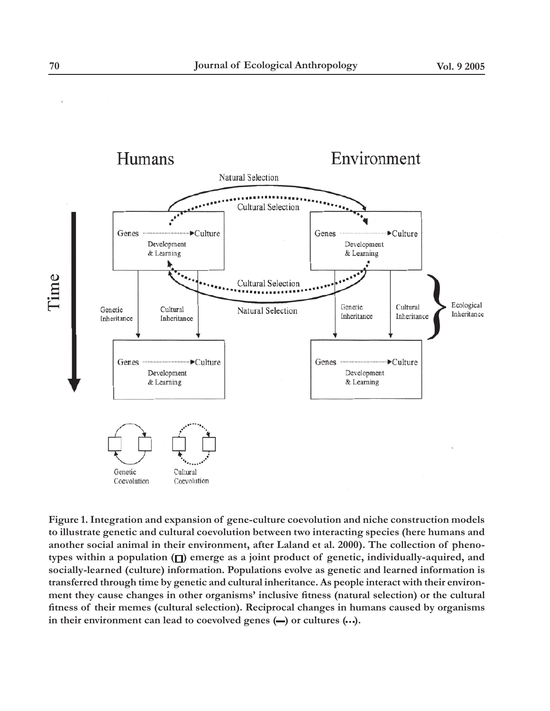

**Figure 1. Integration and expansion of gene-culture coevolution and niche construction models to illustrate genetic and cultural coevolution between two interacting species (here humans and another social animal in their environment, after Laland et al. 2000). The collection of pheno**types within a population ( $\square$ ) emerge as a joint product of genetic, individually-aquired, and **socially-learned (culture) information. Populations evolve as genetic and learned information is transferred through time by genetic and cultural inheritance. As people interact with their environment they cause changes in other organisms' inclusive fitness (natural selection) or the cultural fitness of their memes (cultural selection). Reciprocal changes in humans caused by organisms**  in their environment can lead to coevolved genes  $(-)$  or cultures  $(\cdot \cdot \cdot)$ .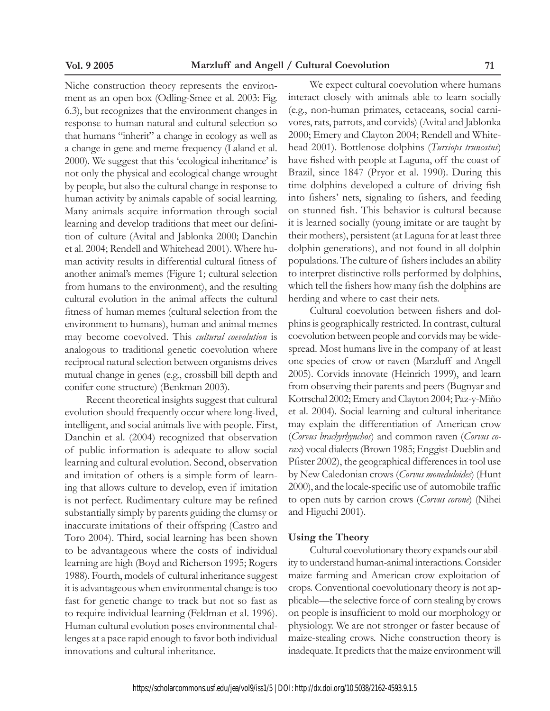Niche construction theory represents the environment as an open box (Odling-Smee et al. 2003: Fig. 6.3), but recognizes that the environment changes in response to human natural and cultural selection so that humans "inherit" a change in ecology as well as a change in gene and meme frequency (Laland et al. 2000). We suggest that this 'ecological inheritance' is not only the physical and ecological change wrought by people, but also the cultural change in response to human activity by animals capable of social learning. Many animals acquire information through social learning and develop traditions that meet our definition of culture (Avital and Jablonka 2000; Danchin et al. 2004; Rendell and Whitehead 2001). Where human activity results in differential cultural fitness of another animal's memes (Figure 1; cultural selection from humans to the environment), and the resulting cultural evolution in the animal affects the cultural fitness of human memes (cultural selection from the environment to humans), human and animal memes may become coevolved. This *cultural coevolution* is analogous to traditional genetic coevolution where reciprocal natural selection between organisms drives mutual change in genes (e.g., crossbill bill depth and conifer cone structure) (Benkman 2003).

Recent theoretical insights suggest that cultural evolution should frequently occur where long-lived, intelligent, and social animals live with people. First, Danchin et al. (2004) recognized that observation of public information is adequate to allow social learning and cultural evolution. Second, observation and imitation of others is a simple form of learning that allows culture to develop, even if imitation is not perfect. Rudimentary culture may be refined substantially simply by parents guiding the clumsy or inaccurate imitations of their offspring (Castro and Toro 2004). Third, social learning has been shown to be advantageous where the costs of individual learning are high (Boyd and Richerson 1995; Rogers 1988). Fourth, models of cultural inheritance suggest it is advantageous when environmental change is too fast for genetic change to track but not so fast as to require individual learning (Feldman et al. 1996). Human cultural evolution poses environmental challenges at a pace rapid enough to favor both individual innovations and cultural inheritance.

We expect cultural coevolution where humans interact closely with animals able to learn socially (e.g., non-human primates, cetaceans, social carnivores, rats, parrots, and corvids) (Avital and Jablonka 2000; Emery and Clayton 2004; Rendell and Whitehead 2001). Bottlenose dolphins (*Tursiops truncatus*) have fished with people at Laguna, off the coast of Brazil, since 1847 (Pryor et al. 1990). During this time dolphins developed a culture of driving fish into fishers' nets, signaling to fishers, and feeding on stunned fish. This behavior is cultural because it is learned socially (young imitate or are taught by their mothers), persistent (at Laguna for at least three dolphin generations), and not found in all dolphin populations. The culture of fishers includes an ability to interpret distinctive rolls performed by dolphins, which tell the fishers how many fish the dolphins are herding and where to cast their nets.

Cultural coevolution between fishers and dolphins is geographically restricted. In contrast, cultural coevolution between people and corvids may be widespread. Most humans live in the company of at least one species of crow or raven (Marzluff and Angell 2005). Corvids innovate (Heinrich 1999), and learn from observing their parents and peers (Bugnyar and Kotrschal 2002; Emery and Clayton 2004; Paz-y-Miño et al. 2004). Social learning and cultural inheritance may explain the differentiation of American crow (*Corvus brachyrhynchos*) and common raven (*Corvus corax*) vocal dialects (Brown 1985; Enggist-Dueblin and Pfister 2002), the geographical differences in tool use by New Caledonian crows (*Corvus moneduloides*) (Hunt 2000), and the locale-specific use of automobile traffic to open nuts by carrion crows (*Corvus corone*) (Nihei and Higuchi 2001).

#### **Using the Theory**

Cultural coevolutionary theory expands our ability to understand human-animal interactions. Consider maize farming and American crow exploitation of crops. Conventional coevolutionary theory is not applicable—the selective force of corn stealing by crows on people is insufficient to mold our morphology or physiology. We are not stronger or faster because of maize-stealing crows. Niche construction theory is inadequate. It predicts that the maize environment will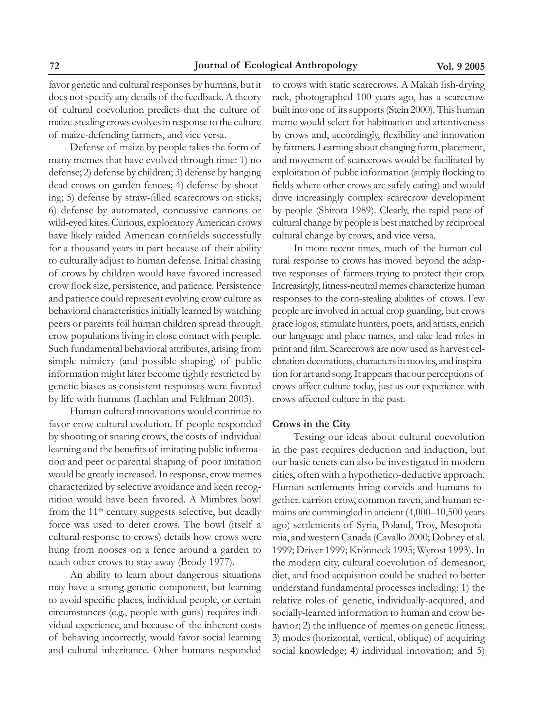favor genetic and cultural responses by humans, but it does not specify any details of the feedback. A theory of cultural coevolution predicts that the culture of maize-stealing crows evolves in response to the culture of maize-defending farmers, and vice versa.

Defense of maize by people takes the form of many memes that have evolved through time: 1) no defense; 2) defense by children; 3) defense by hanging dead crows on garden fences; 4) defense by shooting; 5) defense by straw-filled scarecrows on sticks; 6) defense by automated, concussive cannons or wild-eyed kites. Curious, exploratory American crows have likely raided American cornfields successfully for a thousand years in part because of their ability to culturally adjust to human defense. Initial chasing of crows by children would have favored increased crow flock size, persistence, and patience. Persistence and patience could represent evolving crow culture as behavioral characteristics initially learned by watching peers or parents foil human children spread through crow populations living in close contact with people. Such fundamental behavioral attributes, arising from simple mimicry (and possible shaping) of public information might later become tightly restricted by genetic biases as consistent responses were favored by life with humans (Lachlan and Feldman 2003).

Human cultural innovations would continue to favor crow cultural evolution. If people responded by shooting or snaring crows, the costs of individual learning and the benefits of imitating public information and peer or parental shaping of poor imitation would be greatly increased. In response, crow memes characterized by selective avoidance and keen recognition would have been favored. A Mimbres bowl from the  $11<sup>th</sup>$  century suggests selective, but deadly force was used to deter crows. The bowl (itself a cultural response to crows) details how crows were hung from nooses on a fence around a garden to teach other crows to stay away (Brody 1977).

An ability to learn about dangerous situations may have a strong genetic component, but learning to avoid specific places, individual people, or certain circumstances (e.g., people with guns) requires individual experience, and because of the inherent costs of behaving incorrectly, would favor social learning and cultural inheritance. Other humans responded

to crows with static scarecrows. A Makah fish-drying rack, photographed 100 years ago, has a scarecrow built into one of its supports (Stein 2000). This human meme would select for habituation and attentiveness by crows and, accordingly, flexibility and innovation by farmers. Learning about changing form, placement, and movement of scarecrows would be facilitated by exploitation of public information (simply flocking to fields where other crows are safely eating) and would drive increasingly complex scarecrow development by people (Shirota 1989). Clearly, the rapid pace of cultural change by people is best matched by reciprocal cultural change by crows, and vice versa.

In more recent times, much of the human cultural response to crows has moved beyond the adaptive responses of farmers trying to protect their crop. Increasingly, fitness-neutral memes characterize human responses to the corn-stealing abilities of crows. Few people are involved in actual crop guarding, but crows grace logos, stimulate hunters, poets, and artists, enrich our language and place names, and take lead roles in print and film. Scarecrows are now used as harvest celebration decorations, characters in movies, and inspiration for art and song. It appears that our perceptions of crows affect culture today, just as our experience with crows affected culture in the past.

#### **Crows in the City**

Testing our ideas about cultural coevolution in the past requires deduction and induction, but our basic tenets can also be investigated in modern cities, often with a hypothetico-deductive approach. Human settlements bring corvids and humans together. carrion crow, common raven, and human remains are commingled in ancient (4,000–10,500 years ago) settlements of Syria, Poland, Troy, Mesopotamia, and western Canada (Cavallo 2000; Dobney et al. 1999; Driver 1999; Krönneck 1995; Wyrost 1993). In the modern city, cultural coevolution of demeanor, diet, and food acquisition could be studied to better understand fundamental processes including: 1) the relative roles of genetic, individually-acquired, and socially-learned information to human and crow behavior; 2) the influence of memes on genetic fitness; 3) modes (horizontal, vertical, oblique) of acquiring social knowledge; 4) individual innovation; and 5)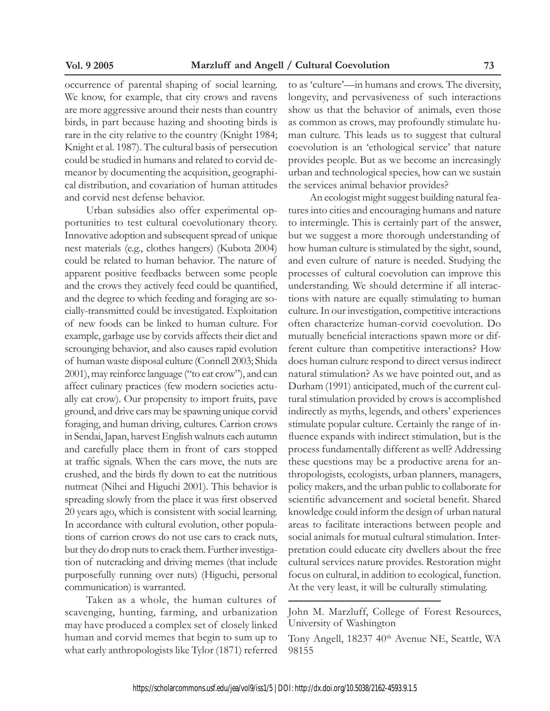occurrence of parental shaping of social learning. We know, for example, that city crows and ravens are more aggressive around their nests than country birds, in part because hazing and shooting birds is rare in the city relative to the country (Knight 1984; Knight et al. 1987). The cultural basis of persecution could be studied in humans and related to corvid demeanor by documenting the acquisition, geographical distribution, and covariation of human attitudes and corvid nest defense behavior.

Urban subsidies also offer experimental opportunities to test cultural coevolutionary theory. Innovative adoption and subsequent spread of unique nest materials (e.g., clothes hangers) (Kubota 2004) could be related to human behavior. The nature of apparent positive feedbacks between some people and the crows they actively feed could be quantified, and the degree to which feeding and foraging are socially-transmitted could be investigated. Exploitation of new foods can be linked to human culture. For example, garbage use by corvids affects their diet and scrounging behavior, and also causes rapid evolution of human waste disposal culture (Connell 2003; Shida 2001), may reinforce language ("to eat crow"), and can affect culinary practices (few modern societies actually eat crow). Our propensity to import fruits, pave ground, and drive cars may be spawning unique corvid foraging, and human driving, cultures. Carrion crows in Sendai, Japan, harvest English walnuts each autumn and carefully place them in front of cars stopped at traffic signals. When the cars move, the nuts are crushed, and the birds fly down to eat the nutritious nutmeat (Nihei and Higuchi 2001). This behavior is spreading slowly from the place it was first observed 20 years ago, which is consistent with social learning. In accordance with cultural evolution, other populations of carrion crows do not use cars to crack nuts, but they do drop nuts to crack them. Further investigation of nutcracking and driving memes (that include purposefully running over nuts) (Higuchi, personal communication) is warranted.

Taken as a whole, the human cultures of scavenging, hunting, farming, and urbanization may have produced a complex set of closely linked human and corvid memes that begin to sum up to what early anthropologists like Tylor (1871) referred

to as 'culture'—in humans and crows. The diversity, longevity, and pervasiveness of such interactions show us that the behavior of animals, even those as common as crows, may profoundly stimulate human culture. This leads us to suggest that cultural coevolution is an 'ethological service' that nature provides people. But as we become an increasingly urban and technological species, how can we sustain the services animal behavior provides?

An ecologist might suggest building natural features into cities and encouraging humans and nature to intermingle. This is certainly part of the answer, but we suggest a more thorough understanding of how human culture is stimulated by the sight, sound, and even culture of nature is needed. Studying the processes of cultural coevolution can improve this understanding. We should determine if all interactions with nature are equally stimulating to human culture. In our investigation, competitive interactions often characterize human-corvid coevolution. Do mutually beneficial interactions spawn more or different culture than competitive interactions? How does human culture respond to direct versus indirect natural stimulation? As we have pointed out, and as Durham (1991) anticipated, much of the current cultural stimulation provided by crows is accomplished indirectly as myths, legends, and others' experiences stimulate popular culture. Certainly the range of influence expands with indirect stimulation, but is the process fundamentally different as well? Addressing these questions may be a productive arena for anthropologists, ecologists, urban planners, managers, policy makers, and the urban public to collaborate for scientific advancement and societal benefit. Shared knowledge could inform the design of urban natural areas to facilitate interactions between people and social animals for mutual cultural stimulation. Interpretation could educate city dwellers about the free cultural services nature provides. Restoration might focus on cultural, in addition to ecological, function. At the very least, it will be culturally stimulating.

John M. Marzluff, College of Forest Resources, University of Washington

Tony Angell, 18237 40<sup>th</sup> Avenue NE, Seattle, WA 98155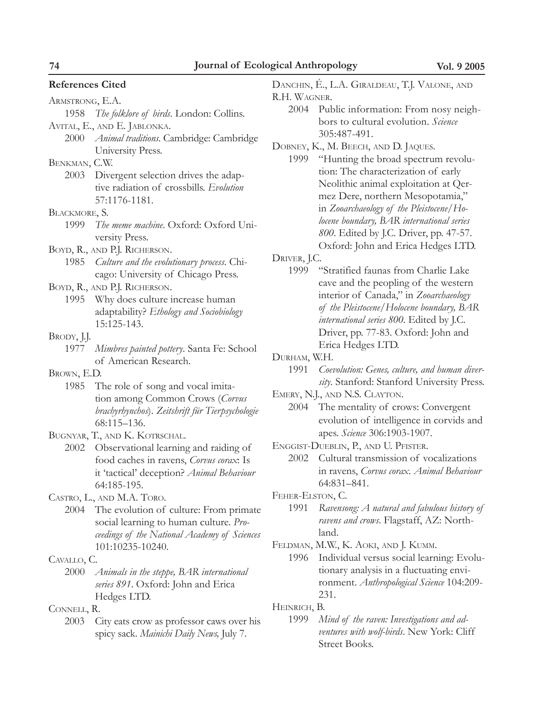#### **References Cited**

| ARMSTRONG, E.A. |                           |  |
|-----------------|---------------------------|--|
|                 | $1050$ The followed binds |  |

1958 *The folklore of birds*. London: Collins. Avital, E., and E. Jablonka.

2000 *Animal traditions*. Cambridge: Cambridge University Press.

Benkman, C.W.

2003 Divergent selection drives the adaptive radiation of crossbills. *Evolution* 57:1176-1181.

#### Blackmore, S.

- 1999 *The meme machine*. Oxford: Oxford University Press.
- Boyd, R., and P.J. Richerson.
- 1985 *Culture and the evolutionary process*. Chicago: University of Chicago Press.

## Boyd, R., and P.J. Richerson.

1995 Why does culture increase human adaptability? *Ethology and Sociobiology* 15:125-143.

#### BRODY, J.J.

1977 *Mimbres painted pottery*. Santa Fe: School of American Research.

#### Brown, E.D.

1985 The role of song and vocal imitation among Common Crows (*Corvus brachyrhynchos*). *Zeitshrift für Tierpsychologie* 68:115–136.

## Bugnyar, T., and K. Kotrschal.

2002 Observational learning and raiding of food caches in ravens, *Corvus corax*: Is it 'tactical' deception? *Animal Behaviour* 64:185-195.

Castro, L., and M.A. Toro.

2004 The evolution of culture: From primate social learning to human culture. *Proceedings of the National Academy of Sciences* 101:10235-10240.

#### Cavallo, C.

2000 *Animals in the steppe, BAR international series 891*. Oxford: John and Erica Hedges LTD.

Connell, R.

2003 City eats crow as professor caws over his spicy sack. *Mainichi Daily News,* July 7.

Danchin, É., L.A. Giraldeau, T.J. Valone, and R.H. WAGNER.

- 2004 Public information: From nosy neighbors to cultural evolution. *Science* 305:487-491.
- Dobney, K., M. Beech, and D. Jaques.
- 1999 "Hunting the broad spectrum revolution: The characterization of early Neolithic animal exploitation at Qermez Dere, northern Mesopotamia," in *Zooarchaeology of the Pleistocene/Holocene boundary, BAR international series 800*. Edited by J.C. Driver, pp. 47-57. Oxford: John and Erica Hedges LTD.

Driver, J.C.

1999 "Stratified faunas from Charlie Lake cave and the peopling of the western interior of Canada," in *Zooarchaeology of the Pleistocene/Holocene boundary, BAR international series 800*. Edited by J.C. Driver, pp. 77-83. Oxford: John and Erica Hedges LTD.

Durham, W.H.

1991 *Coevolution: Genes, culture, and human diversity*. Stanford: Stanford University Press.

Emery, N.J., and N.S. Clayton.

- 2004 The mentality of crows: Convergent evolution of intelligence in corvids and apes. *Science* 306:1903-1907.
- Enggist-Dueblin, P., and U. Pfister.
	- 2002 Cultural transmission of vocalizations in ravens, *Corvus corax*. *Animal Behaviour* 64:831–841.
- Feher-Elston, C.
	- 1991 *Ravensong: A natural and fabulous history of ravens and crows*. Flagstaff, AZ: Northland.

Feldman, M.W., K. Aoki, and J. Kumm.

1996 Individual versus social learning: Evolutionary analysis in a fluctuating environment. *Anthropological Science* 104:209- 231.

Heinrich, B.

<sup>1999</sup> *Mind of the raven: Investigations and adventures with wolf-birds*. New York: Cliff Street Books.